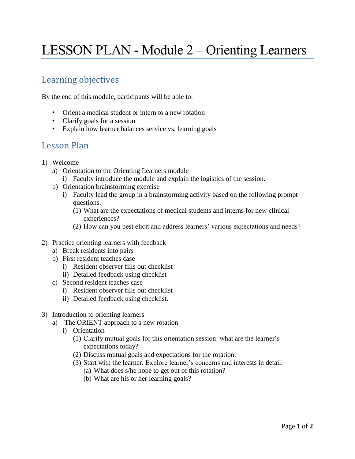## LESSON PLAN - Module 2 – Orienting Learners

## Learning objectives

By the end of this module, participants will be able to:

- Orient a medical student or intern to a new rotation
- Clarify goals for a session
- Explain how learner balances service vs. learning goals

## Lesson Plan

- 1) Welcome
	- a) Orientation to the Orienting Learners module i) Faculty introduce the module and explain the logistics of the session.
	- b) Orientation brainstorming exercise
		- i) Faculty lead the group in a brainstorming activity based on the following prompt questions.
			- (1) What are the expectations of medical students and interns for new clinical experiences?
			- (2) How can you best elicit and address learners' various expectations and needs?
- 2) Practice orienting learners with feedback
	- a) Break residents into pairs
	- b) First resident teaches case
		- i) Resident observer fills out checklist
		- ii) Detailed feedback using checklist
	- c) Second resident teaches case
		- i) Resident observer fills out checklist
		- ii) Detailed feedback using checklist.
- 3) Introduction to orienting learners
	- a) The ORIENT approach to a new rotation
		- i) Orientation
			- (1) Clarify mutual goals for this orientation session: what are the learner's expectations today?
			- (2) Discuss mutual goals and expectations for the rotation.
			- (3) Start with the learner. Explore learner's concerns and interests in detail.
				- (a) What does s/he hope to get out of this rotation?
				- (b) What are his or her learning goals?